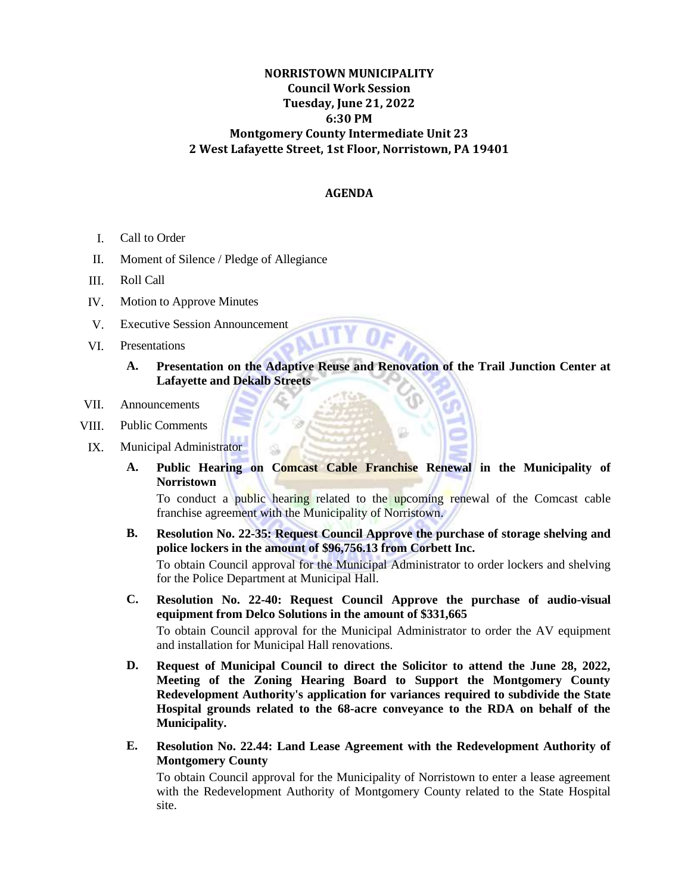## **NORRISTOWN MUNICIPALITY Council Work Session Tuesday, June 21, 2022 6:30 PM Montgomery County Intermediate Unit 23 2 West Lafayette Street, 1st Floor, Norristown, PA 19401**

## **AGENDA**

- I. Call to Order
- II. Moment of Silence / Pledge of Allegiance
- III. Roll Call
- IV. Motion to Approve Minutes
- V. Executive Session Announcement
- VI. Presentations
	- **A. Presentation on the Adaptive Reuse and Renovation of the Trail Junction Center at Lafayette and Dekalb Streets**
- VII. Announcements
- VIII. Public Comments
- IX. Municipal Administrator
	- **A. Public Hearing on Comcast Cable Franchise Renewal in the Municipality of Norristown**

To conduct a public hearing related to the upcoming renewal of the Comcast cable franchise agreement with the Municipality of Norristown.

- **B. Resolution No. 22-35: Request Council Approve the purchase of storage shelving and police lockers in the amount of \$96,756.13 from Corbett Inc.** To obtain Council approval for the Municipal Administrator to order lockers and shelving for the Police Department at Municipal Hall.
- **C. Resolution No. 22-40: Request Council Approve the purchase of audio-visual equipment from Delco Solutions in the amount of \$331,665** To obtain Council approval for the Municipal Administrator to order the AV equipment

and installation for Municipal Hall renovations.

- **D. Request of Municipal Council to direct the Solicitor to attend the June 28, 2022, Meeting of the Zoning Hearing Board to Support the Montgomery County Redevelopment Authority's application for variances required to subdivide the State Hospital grounds related to the 68-acre conveyance to the RDA on behalf of the Municipality.**
- **E. Resolution No. 22.44: Land Lease Agreement with the Redevelopment Authority of Montgomery County**

To obtain Council approval for the Municipality of Norristown to enter a lease agreement with the Redevelopment Authority of Montgomery County related to the State Hospital site.